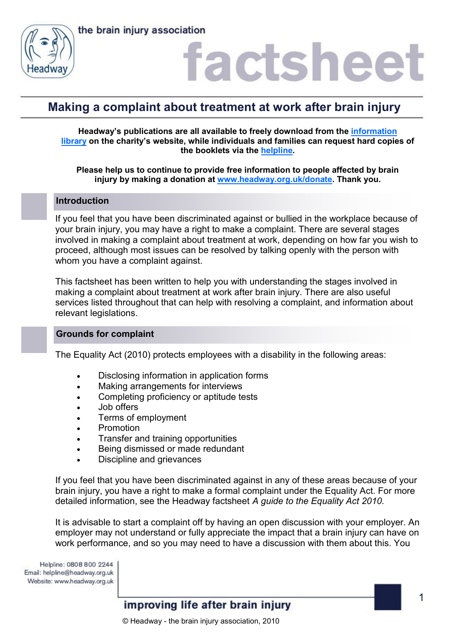



### factshee

### **Making a complaint about treatment at work after brain injury**

**Headway's publications are all available to freely download from the [information](https://www.headway.org.uk/about-brain-injury/individuals/information-library/)  [library](https://www.headway.org.uk/about-brain-injury/individuals/information-library/) on the charity's website, while individuals and families can request hard copies of the booklets via the [helpline.](https://www.headway.org.uk/supporting-you/helpline/)**

**Please help us to continue to provide free information to people affected by brain injury by making a donation at [www.headway.org.uk/donate.](http://www.headway.org.uk/donate) Thank you.**

#### **Introduction**

If you feel that you have been discriminated against or bullied in the workplace because of your brain injury, you may have a right to make a complaint. There are several stages involved in making a complaint about treatment at work, depending on how far you wish to proceed, although most issues can be resolved by talking openly with the person with whom you have a complaint against.

This factsheet has been written to help you with understanding the stages involved in making a complaint about treatment at work after brain injury. There are also useful services listed throughout that can help with resolving a complaint, and information about relevant legislations.

#### **Grounds for complaint**

The Equality Act (2010) protects employees with a disability in the following areas:

- Disclosing information in application forms
- Making arrangements for interviews
- Completing proficiency or aptitude tests
- Job offers
- Terms of employment
- Promotion
- Transfer and training opportunities
- **Being dismissed or made redundant**
- Discipline and grievances

If you feel that you have been discriminated against in any of these areas because of your brain injury, you have a right to make a formal complaint under the Equality Act. For more detailed information, see the Headway factsheet *A guide to the Equality Act 2010.* 

It is advisable to start a complaint off by having an open discussion with your employer. An employer may not understand or fully appreciate the impact that a brain injury can have on work performance, and so you may need to have a discussion with them about this. You

Helpline: 0808 800 2244 Email: helpline@headway.org.uk Website: www.headway.org.uk

### improving life after brain injury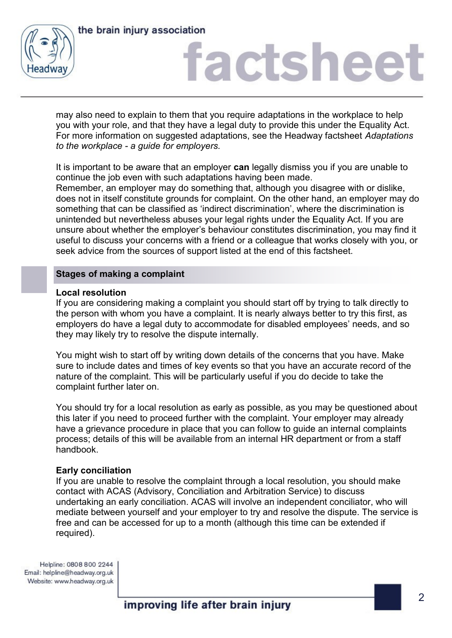



## factsheet

may also need to explain to them that you require adaptations in the workplace to help you with your role, and that they have a legal duty to provide this under the Equality Act. For more information on suggested adaptations, see the Headway factsheet *Adaptations to the workplace - a guide for employers.* 

It is important to be aware that an employer **can** legally dismiss you if you are unable to continue the job even with such adaptations having been made.

Remember, an employer may do something that, although you disagree with or dislike, does not in itself constitute grounds for complaint. On the other hand, an employer may do something that can be classified as 'indirect discrimination', where the discrimination is unintended but nevertheless abuses your legal rights under the Equality Act. If you are unsure about whether the employer's behaviour constitutes discrimination, you may find it useful to discuss your concerns with a friend or a colleague that works closely with you, or seek advice from the sources of support listed at the end of this factsheet.

#### **Stages of making a complaint**

#### **Local resolution**

If you are considering making a complaint you should start off by trying to talk directly to the person with whom you have a complaint. It is nearly always better to try this first, as employers do have a legal duty to accommodate for disabled employees' needs, and so they may likely try to resolve the dispute internally.

You might wish to start off by writing down details of the concerns that you have. Make sure to include dates and times of key events so that you have an accurate record of the nature of the complaint. This will be particularly useful if you do decide to take the complaint further later on.

You should try for a local resolution as early as possible, as you may be questioned about this later if you need to proceed further with the complaint. Your employer may already have a grievance procedure in place that you can follow to guide an internal complaints process; details of this will be available from an internal HR department or from a staff handbook.

#### **Early conciliation**

If you are unable to resolve the complaint through a local resolution, you should make contact with ACAS (Advisory, Conciliation and Arbitration Service) to discuss undertaking an early conciliation. ACAS will involve an independent conciliator, who will mediate between yourself and your employer to try and resolve the dispute. The service is free and can be accessed for up to a month (although this time can be extended if required).

Helpline: 0808 800 2244 Email: helpline@headway.org.uk Website: www.headway.org.uk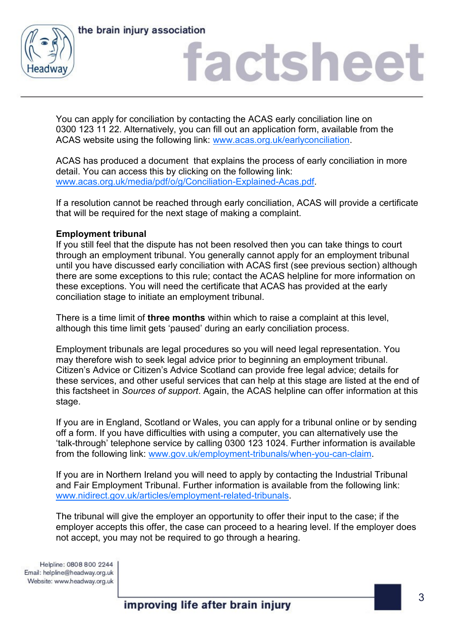



## factsheet

You can apply for conciliation by contacting the ACAS early conciliation line on 0300 123 11 22. Alternatively, you can fill out an application form, available from the ACAS website using the following link: [www.acas.org.uk/earlyconciliation.](http://www.acas.org.uk/index.aspx?articleid=4028)

ACAS has produced a document that explains the process of early conciliation in more detail. You can access this by clicking on the following link: [www.acas.org.uk/media/pdf/o/g/Conciliation-Explained-Acas.pdf.](http://www.acas.org.uk/media/pdf/o/g/Conciliation-Explained-Acas.pdf)

If a resolution cannot be reached through early conciliation, ACAS will provide a certificate that will be required for the next stage of making a complaint.

#### **Employment tribunal**

If you still feel that the dispute has not been resolved then you can take things to court through an employment tribunal. You generally cannot apply for an employment tribunal until you have discussed early conciliation with ACAS first (see previous section) although there are some exceptions to this rule; contact the ACAS helpline for more information on these exceptions. You will need the certificate that ACAS has provided at the early conciliation stage to initiate an employment tribunal.

There is a time limit of **three months** within which to raise a complaint at this level, although this time limit gets 'paused' during an early conciliation process.

Employment tribunals are legal procedures so you will need legal representation. You may therefore wish to seek legal advice prior to beginning an employment tribunal. Citizen's Advice or Citizen's Advice Scotland can provide free legal advice; details for these services, and other useful services that can help at this stage are listed at the end of this factsheet in *Sources of support*. Again, the ACAS helpline can offer information at this stage.

If you are in England, Scotland or Wales, you can apply for a tribunal online or by sending off a form. If you have difficulties with using a computer, you can alternatively use the 'talk-through' telephone service by calling 0300 123 1024. Further information is available from the following link: [www.gov.uk/employment-tribunals/when-you-can-claim.](https://www.gov.uk/employment-tribunals/when-you-can-claim)

If you are in Northern Ireland you will need to apply by contacting the Industrial Tribunal and Fair Employment Tribunal. Further information is available from the following link: [www.nidirect.gov.uk/articles/employment-related-tribunals.](https://www.nidirect.gov.uk/articles/employment-related-tribunals)

The tribunal will give the employer an opportunity to offer their input to the case; if the employer accepts this offer, the case can proceed to a hearing level. If the employer does not accept, you may not be required to go through a hearing.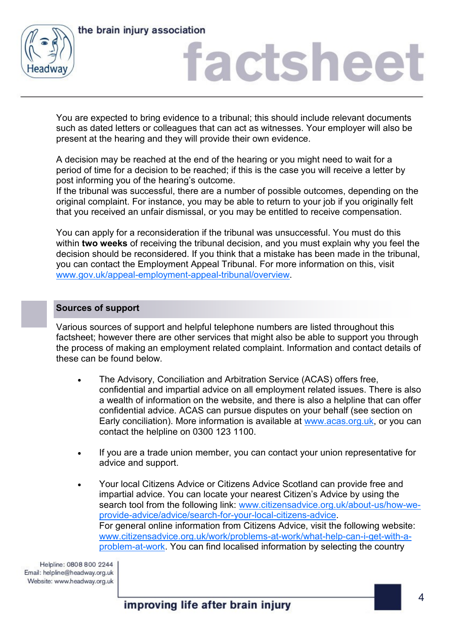



## factshee<sup>®</sup>

You are expected to bring evidence to a tribunal; this should include relevant documents such as dated letters or colleagues that can act as witnesses. Your employer will also be present at the hearing and they will provide their own evidence.

A decision may be reached at the end of the hearing or you might need to wait for a period of time for a decision to be reached; if this is the case you will receive a letter by post informing you of the hearing's outcome.

If the tribunal was successful, there are a number of possible outcomes, depending on the original complaint. For instance, you may be able to return to your job if you originally felt that you received an unfair dismissal, or you may be entitled to receive compensation.

You can apply for a reconsideration if the tribunal was unsuccessful. You must do this within **two weeks** of receiving the tribunal decision, and you must explain why you feel the decision should be reconsidered. If you think that a mistake has been made in the tribunal, you can contact the Employment Appeal Tribunal. For more information on this, visit [www.gov.uk/appeal-employment-appeal-tribunal/overview.](https://www.gov.uk/appeal-employment-appeal-tribunal/overview)

#### **Sources of support**

Various sources of support and helpful telephone numbers are listed throughout this factsheet; however there are other services that might also be able to support you through the process of making an employment related complaint. Information and contact details of these can be found below.

- The Advisory, Conciliation and Arbitration Service (ACAS) offers free, confidential and impartial advice on all employment related issues. There is also a wealth of information on the website, and there is also a helpline that can offer confidential advice. ACAS can pursue disputes on your behalf (see section on Early conciliation). More information is available at [www.acas.org.uk,](http://www.acas.org.uk) or you can contact the helpline on 0300 123 1100.
- If you are a trade union member, you can contact your union representative for advice and support.
- Your local Citizens Advice or Citizens Advice Scotland can provide free and impartial advice. You can locate your nearest Citizen's Advice by using the search tool from the following link: [www.citizensadvice.org.uk/about-us/how-we](http://www.citizensadvice.org.uk/about-us/how-we-provide-advice/advice/search-for-your-local-citizens-advice)[provide-advice/advice/search-for-your-local-citizens-advice.](http://www.citizensadvice.org.uk/about-us/how-we-provide-advice/advice/search-for-your-local-citizens-advice) For general online information from Citizens Advice, visit the following website: [www.citizensadvice.org.uk/work/problems-at-work/what-help-can-i-get-with-a](http://www.citizensadvice.org.uk/work/problems-at-work/what-help-can-i-get-with-a-problem-at-work)[problem-at-work.](http://www.citizensadvice.org.uk/work/problems-at-work/what-help-can-i-get-with-a-problem-at-work) You can find localised information by selecting the country

Helpline: 0808 800 2244 Email: helpline@headway.org.uk Website: www.headway.org.uk

improving life after brain injury